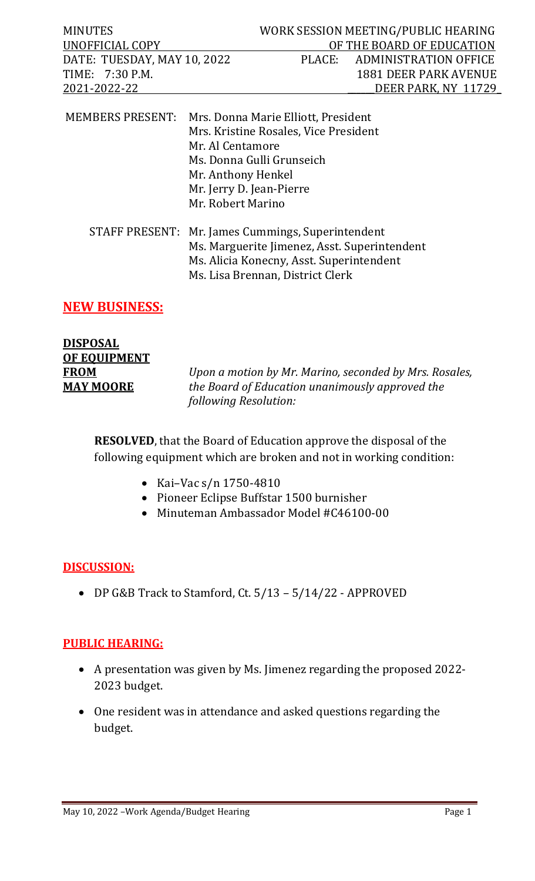| <b>MINUTES</b><br>UNOFFICIAL COPY<br>DATE: TUESDAY, MAY 10, 2022<br>TIME: 7:30 P.M.<br>2021-2022-22 |                                                                                         |                                                                                                                              | WORK SESSION MEETING/PUBLIC HEARING<br>OF THE BOARD OF EDUCATION<br>PLACE: ADMINISTRATION OFFICE<br><b>1881 DEER PARK AVENUE</b><br>DEER PARK, NY 11729 |
|-----------------------------------------------------------------------------------------------------|-----------------------------------------------------------------------------------------|------------------------------------------------------------------------------------------------------------------------------|---------------------------------------------------------------------------------------------------------------------------------------------------------|
| MEMBERS PRESENT: Mrs. Donna Marie Elliott, President                                                | Mr. Al Centamore<br>Mr. Anthony Henkel<br>Mr. Jerry D. Jean-Pierre<br>Mr. Robert Marino | Mrs. Kristine Rosales, Vice President<br>Ms. Donna Gulli Grunseich                                                           |                                                                                                                                                         |
| STAFF PRESENT: Mr. James Cummings, Superintendent                                                   |                                                                                         | Ms. Marguerite Jimenez, Asst. Superintendent<br>Ms. Alicia Konecny, Asst. Superintendent<br>Ms. Lisa Brennan, District Clerk |                                                                                                                                                         |

## **NEW BUSINESS:**

| <b>DISPOSAL</b>     |  |
|---------------------|--|
| <b>OF EQUIPMENT</b> |  |
| <b>FROM</b>         |  |
| <b>MAY MOORE</b>    |  |

**FROM** *Upon a motion by Mr. Marino, seconded by Mrs. Rosales,* **MAY MOORE** *the Board of Education unanimously approved the following Resolution:*

**RESOLVED**, that the Board of Education approve the disposal of the following equipment which are broken and not in working condition:

- Kai–Vac s/n 1750-4810
- Pioneer Eclipse Buffstar 1500 burnisher
- Minuteman Ambassador Model #C46100-00

## **DISCUSSION:**

• DP G&B Track to Stamford, Ct. 5/13 – 5/14/22 - APPROVED

## **PUBLIC HEARING:**

- A presentation was given by Ms. Jimenez regarding the proposed 2022- 2023 budget.
- One resident was in attendance and asked questions regarding the budget.